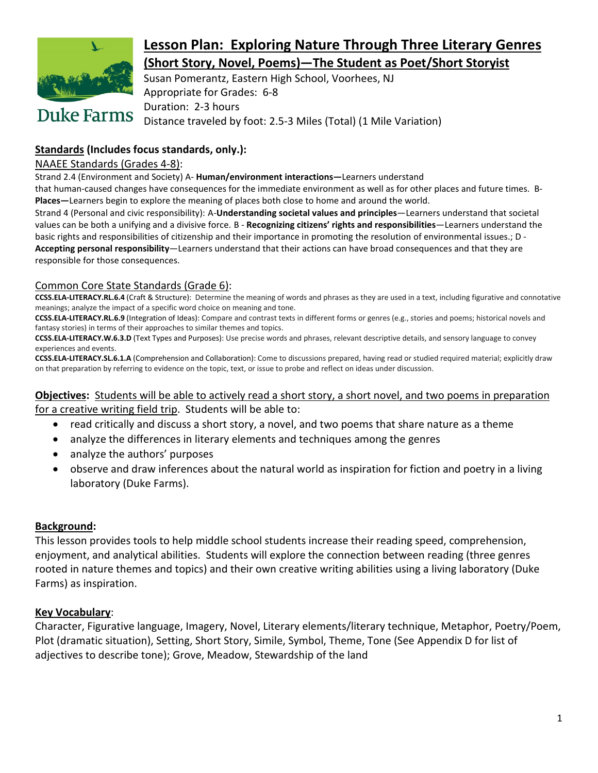

## **Lesson Plan: Exploring Nature Through Three Literary Genres (Short Story, Novel, Poems)—The Student as Poet/Short Storyist**

Susan Pomerantz, Eastern High School, Voorhees, NJ Appropriate for Grades: 6-8 Duration: 2-3 hours Distance traveled by foot: 2.5-3 Miles (Total) (1 Mile Variation)

### **Standards (Includes focus standards, only.):**

### NAAEE Standards (Grades 4-8):

Strand 2.4 (Environment and Society) A- **Human/environment interactions—**Learners understand

that human-caused changes have consequences for the immediate environment as well as for other places and future times. B-**Places—**Learners begin to explore the meaning of places both close to home and around the world.

Strand 4 (Personal and civic responsibility): A-**Understanding societal values and principles**—Learners understand that societal values can be both a unifying and a divisive force. B - **Recognizing citizens' rights and responsibilities**—Learners understand the basic rights and responsibilities of citizenship and their importance in promoting the resolution of environmental issues.; D - **Accepting personal responsibility**—Learners understand that their actions can have broad consequences and that they are responsible for those consequences.

### Common Core State Standards (Grade 6):

**CCSS.ELA-LITERACY.RL.6.4** (Craft & Structure): Determine the meaning of words and phrases as they are used in a text, including figurative and connotative meanings; analyze the impact of a specific word choice on meaning and tone.

**CCSS.ELA-LITERACY.RL.6.9** (Integration of Ideas): Compare and contrast texts in different forms or genres (e.g., stories and poems; historical novels and fantasy stories) in terms of their approaches to similar themes and topics.

**CCSS.ELA-LITERACY.W.6.3.D** (Text Types and Purposes): Use precise words and phrases, relevant descriptive details, and sensory language to convey experiences and events.

**CCSS.ELA-LITERACY.SL.6.1.A** (Comprehension and Collaboration): Come to discussions prepared, having read or studied required material; explicitly draw on that preparation by referring to evidence on the topic, text, or issue to probe and reflect on ideas under discussion.

### **Objectives:** Students will be able to actively read a short story, a short novel, and two poems in preparation for a creative writing field trip. Students will be able to:

- read critically and discuss a short story, a novel, and two poems that share nature as a theme
- analyze the differences in literary elements and techniques among the genres
- analyze the authors' purposes
- observe and draw inferences about the natural world as inspiration for fiction and poetry in a living laboratory (Duke Farms).

### **Background:**

This lesson provides tools to help middle school students increase their reading speed, comprehension, enjoyment, and analytical abilities. Students will explore the connection between reading (three genres rooted in nature themes and topics) and their own creative writing abilities using a living laboratory (Duke Farms) as inspiration.

### **Key Vocabulary**:

Character, Figurative language, Imagery, Novel, Literary elements/literary technique, Metaphor, Poetry/Poem, Plot (dramatic situation), Setting, Short Story, Simile, Symbol, Theme, Tone (See Appendix D for list of adjectives to describe tone); Grove, Meadow, Stewardship of the land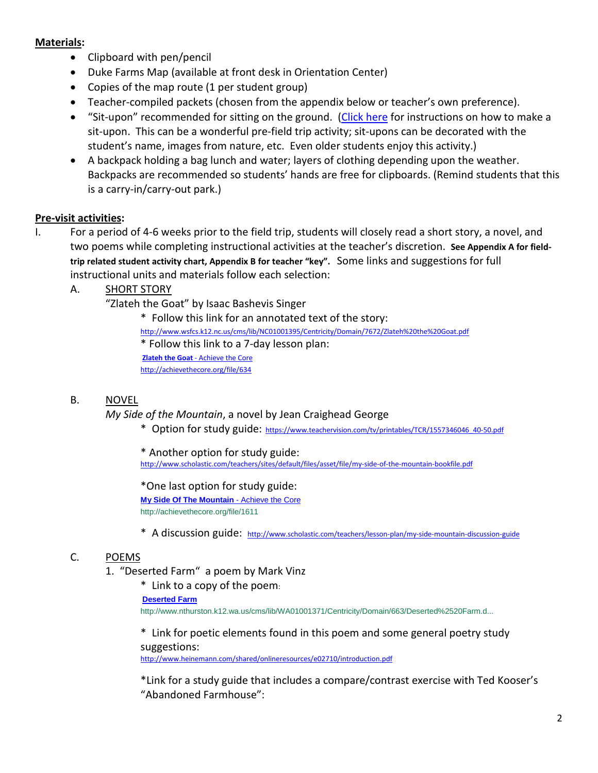#### **Materials:**

- Clipboard with pen/pencil
- Duke Farms Map (available at front desk in Orientation Center)
- Copies of the map route (1 per student group)
- Teacher-compiled packets (chosen from the appendix below or teacher's own preference).
- "Sit-upon" recommended for sitting on the ground. [\(Click here](http://www.momsminivan.com/extras/situpon.html) for instructions on how to make a sit-upon. This can be a wonderful pre-field trip activity; sit-upons can be decorated with the student's name, images from nature, etc. Even older students enjoy this activity.)
- A backpack holding a bag lunch and water; layers of clothing depending upon the weather. Backpacks are recommended so students' hands are free for clipboards. (Remind students that this is a carry-in/carry-out park.)

### **Pre-visit activities:**

I. For a period of 4-6 weeks prior to the field trip, students will closely read a short story, a novel, and two poems while completing instructional activities at the teacher's discretion. **See Appendix A for fieldtrip related student activity chart, Appendix B for teacher "key".** Some links and suggestions for full instructional units and materials follow each selection:

A. SHORT STORY

"Zlateh the Goat" by Isaac Bashevis Singer

\* Follow this link for an annotated text of the story: <http://www.wsfcs.k12.nc.us/cms/lib/NC01001395/Centricity/Domain/7672/Zlateh%20the%20Goat.pdf> \* Follow this link to a 7-day lesson plan: **Zlateh the Goat** - Achieve the Core http://achievethecore.org/file/634

### B. NOVEL

*My Side of the Mountain*, a novel by Jean Craighead George

\* Option for study guide: [https://www.teachervision.com/tv/printables/TCR/1557346046\\_40-50.pdf](https://www.teachervision.com/tv/printables/TCR/1557346046_40-50.pdf)

\* Another option for study guide: <http://www.scholastic.com/teachers/sites/default/files/asset/file/my-side-of-the-mountain-bookfile.pdf>

\*One last option for study guide: **[My Side Of The Mountain](http://search.tb.ask.com/search/redirect.jhtml?action=pick&ct=GD&qs=&searchfor=excerpt+chapter+10+my+side+of+the+mountain&cb=AIC&pg=GGmain&p2=%5EAIC%5Exdm069%5EYYA%5Eus&qid=9efbe2c358964f878efc06ca836e9a62&n=780c7826&ss=sub&pn=1&st=bar&ptb=206EF703-A1B3-4974-A829-21337C50495A&tpr=&si=COK46qzYvcACFVQV7AodM3wAMQ&redirect=mPWsrdz9heamc8iHEhldEbqGKJL%2BbqvZ2eVSJasbOW%2BdNB14%2FL4O6tD%2FfU%2BZ4cBx&ord=9&)** - Achieve the Core http://achievethecore.org/file/1611

\* A discussion guide: <http://www.scholastic.com/teachers/lesson-plan/my-side-mountain-discussion-guide>

### C. POEMS

- 1. "Deserted Farm" a poem by Mark Vinz
	- \* Link to a copy of the poem:

#### **[Deserted Farm](http://search.tb.ask.com/search/redirect.jhtml?action=pick&ct=GD&qs=&searchfor=deserted+farm+mark+vinz&cb=AIC&pg=GGmain&p2=%5EAIC%5Exdm069%5EYYA%5Eus&qid=f6b37535e980445cb4f9aadcfd472a5f&n=780c7826&ss=sub&pn=1&st=sb&ptb=206EF703-A1B3-4974-A829-21337C50495A&tpr=&si=COK46qzYvcACFVQV7AodM3wAMQ&redirect=mPWsrdz9heamc8iHEhldEbVHCQApMvIfb2AX1uVz0KsEKv6XyhL4aLN%2BLU7sk3kevqVKHGnR5lNA3vgwf%2BinptCTyNmquGdP%2BLkMo20HMe6JgP7bzze1OIdGaAocWiGAcxW346hssyGPe0MvZG2wrg%3D%3D&ord=4&)**

http://www.nthurston.k12.wa.us/cms/lib/WA01001371/Centricity/Domain/663/Deserted%2520Farm.d...

\* Link for poetic elements found in this poem and some general poetry study suggestions:

<http://www.heinemann.com/shared/onlineresources/e02710/introduction.pdf>

\*Link for a study guide that includes a compare/contrast exercise with Ted Kooser's "Abandoned Farmhouse":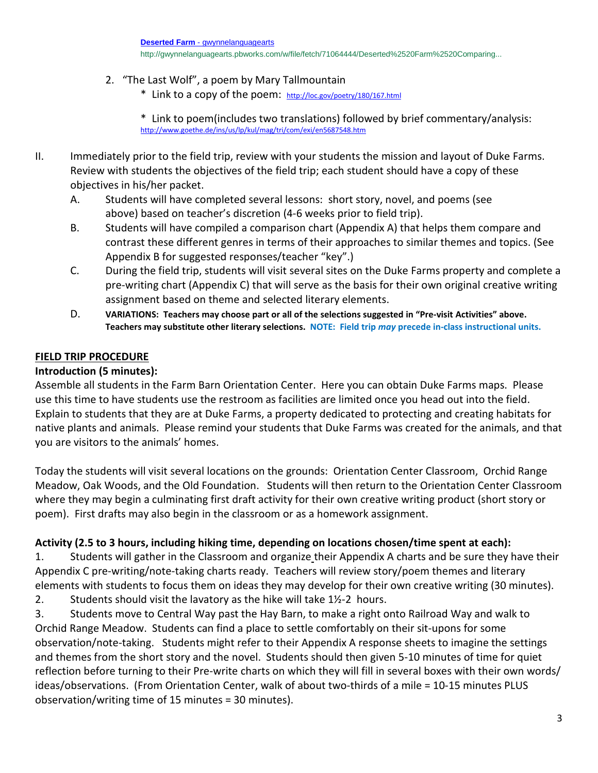- 2. "The Last Wolf", a poem by Mary Tallmountain
	- \* Link to a copy of the poem: <http://loc.gov/poetry/180/167.html>
	- \* Link to poem(includes two translations) followed by brief commentary/analysis: <http://www.goethe.de/ins/us/lp/kul/mag/tri/com/exi/en5687548.htm>
- II. Immediately prior to the field trip, review with your students the mission and layout of Duke Farms. Review with students the objectives of the field trip; each student should have a copy of these objectives in his/her packet.
	- A. Students will have completed several lessons: short story, novel, and poems (see above) based on teacher's discretion (4-6 weeks prior to field trip).
	- B. Students will have compiled a comparison chart (Appendix A) that helps them compare and contrast these different genres in terms of their approaches to similar themes and topics. (See Appendix B for suggested responses/teacher "key".)
	- C. During the field trip, students will visit several sites on the Duke Farms property and complete a pre-writing chart (Appendix C) that will serve as the basis for their own original creative writing assignment based on theme and selected literary elements.
	- D. **VARIATIONS: Teachers may choose part or all of the selections suggested in "Pre-visit Activities" above. Teachers may substitute other literary selections. NOTE: Field trip** *may* **precede in-class instructional units.**

### **FIELD TRIP PROCEDURE**

### **Introduction (5 minutes):**

Assemble all students in the Farm Barn Orientation Center. Here you can obtain Duke Farms maps. Please use this time to have students use the restroom as facilities are limited once you head out into the field. Explain to students that they are at Duke Farms, a property dedicated to protecting and creating habitats for native plants and animals. Please remind your students that Duke Farms was created for the animals, and that you are visitors to the animals' homes.

Today the students will visit several locations on the grounds: Orientation Center Classroom, Orchid Range Meadow, Oak Woods, and the Old Foundation. Students will then return to the Orientation Center Classroom where they may begin a culminating first draft activity for their own creative writing product (short story or poem). First drafts may also begin in the classroom or as a homework assignment.

### **Activity (2.5 to 3 hours, including hiking time, depending on locations chosen/time spent at each):**

1. Students will gather in the Classroom and organize their Appendix A charts and be sure they have their Appendix C pre-writing/note-taking charts ready. Teachers will review story/poem themes and literary elements with students to focus them on ideas they may develop for their own creative writing (30 minutes).

2. Students should visit the lavatory as the hike will take 1½-2 hours.

3. Students move to Central Way past the Hay Barn, to make a right onto Railroad Way and walk to Orchid Range Meadow. Students can find a place to settle comfortably on their sit-upons for some observation/note-taking. Students might refer to their Appendix A response sheets to imagine the settings and themes from the short story and the novel. Students should then given 5-10 minutes of time for quiet reflection before turning to their Pre-write charts on which they will fill in several boxes with their own words/ ideas/observations. (From Orientation Center, walk of about two-thirds of a mile = 10-15 minutes PLUS observation/writing time of 15 minutes = 30 minutes).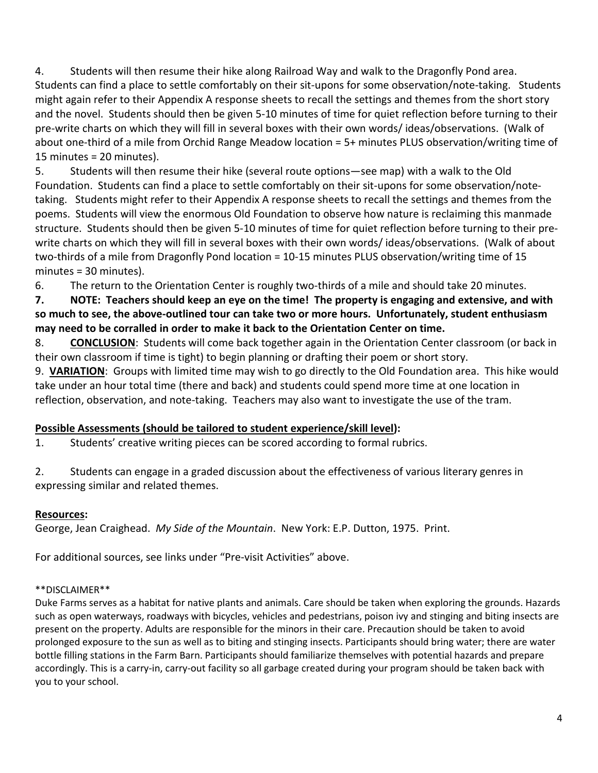4. Students will then resume their hike along Railroad Way and walk to the Dragonfly Pond area. Students can find a place to settle comfortably on their sit-upons for some observation/note-taking. Students might again refer to their Appendix A response sheets to recall the settings and themes from the short story and the novel. Students should then be given 5-10 minutes of time for quiet reflection before turning to their pre-write charts on which they will fill in several boxes with their own words/ ideas/observations. (Walk of about one-third of a mile from Orchid Range Meadow location = 5+ minutes PLUS observation/writing time of 15 minutes = 20 minutes).

5. Students will then resume their hike (several route options—see map) with a walk to the Old Foundation. Students can find a place to settle comfortably on their sit-upons for some observation/notetaking. Students might refer to their Appendix A response sheets to recall the settings and themes from the poems. Students will view the enormous Old Foundation to observe how nature is reclaiming this manmade structure. Students should then be given 5-10 minutes of time for quiet reflection before turning to their prewrite charts on which they will fill in several boxes with their own words/ ideas/observations. (Walk of about two-thirds of a mile from Dragonfly Pond location = 10-15 minutes PLUS observation/writing time of 15 minutes = 30 minutes).

6. The return to the Orientation Center is roughly two-thirds of a mile and should take 20 minutes.

**7. NOTE: Teachers should keep an eye on the time! The property is engaging and extensive, and with so much to see, the above-outlined tour can take two or more hours. Unfortunately, student enthusiasm may need to be corralled in order to make it back to the Orientation Center on time.**

8. **CONCLUSION**: Students will come back together again in the Orientation Center classroom (or back in their own classroom if time is tight) to begin planning or drafting their poem or short story.

9. **VARIATION**: Groups with limited time may wish to go directly to the Old Foundation area. This hike would take under an hour total time (there and back) and students could spend more time at one location in reflection, observation, and note-taking. Teachers may also want to investigate the use of the tram.

### **Possible Assessments (should be tailored to student experience/skill level):**

1. Students' creative writing pieces can be scored according to formal rubrics.

2. Students can engage in a graded discussion about the effectiveness of various literary genres in expressing similar and related themes.

### **Resources:**

George, Jean Craighead. *My Side of the Mountain*. New York: E.P. Dutton, 1975. Print.

For additional sources, see links under "Pre-visit Activities" above.

### \*\*DISCLAIMER\*\*

Duke Farms serves as a habitat for native plants and animals. Care should be taken when exploring the grounds. Hazards such as open waterways, roadways with bicycles, vehicles and pedestrians, poison ivy and stinging and biting insects are present on the property. Adults are responsible for the minors in their care. Precaution should be taken to avoid prolonged exposure to the sun as well as to biting and stinging insects. Participants should bring water; there are water bottle filling stations in the Farm Barn. Participants should familiarize themselves with potential hazards and prepare accordingly. This is a carry-in, carry-out facility so all garbage created during your program should be taken back with you to your school.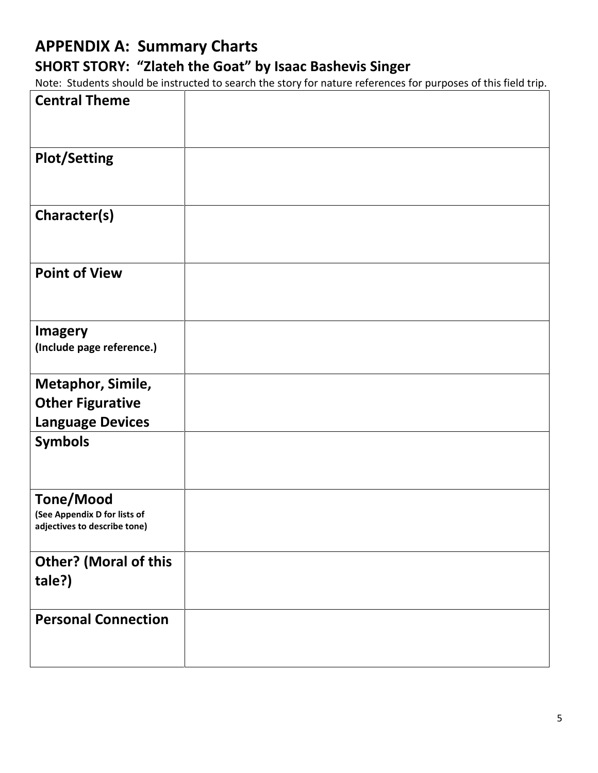# **APPENDIX A: Summary Charts SHORT STORY: "Zlateh the Goat" by Isaac Bashevis Singer**

Note: Students should be instructed to search the story for nature references for purposes of this field trip.

| <b>Central Theme</b>                                                             |  |  |
|----------------------------------------------------------------------------------|--|--|
| <b>Plot/Setting</b>                                                              |  |  |
| Character(s)                                                                     |  |  |
| <b>Point of View</b>                                                             |  |  |
| <b>Imagery</b><br>(Include page reference.)                                      |  |  |
| Metaphor, Simile,                                                                |  |  |
|                                                                                  |  |  |
| <b>Other Figurative</b>                                                          |  |  |
| <b>Language Devices</b>                                                          |  |  |
| <b>Symbols</b>                                                                   |  |  |
| <b>Tone/Mood</b><br>(See Appendix D for lists of<br>adjectives to describe tone) |  |  |
| <b>Other? (Moral of this</b><br>tale?)                                           |  |  |
| <b>Personal Connection</b>                                                       |  |  |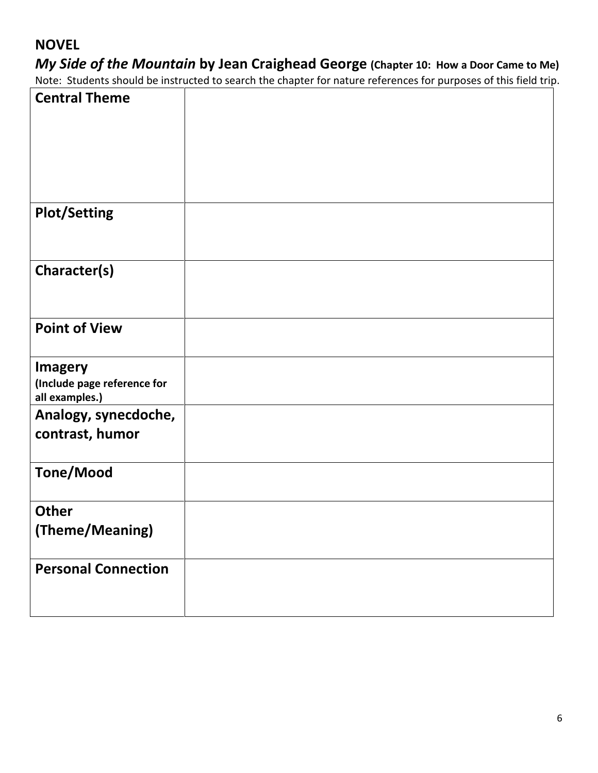## **NOVEL**

# *My Side of the Mountain* **by Jean Craighead George (Chapter 10: How a Door Came to Me)**

Note: Students should be instructed to search the chapter for nature references for purposes of this field trip.

| <b>Central Theme</b>                                            |  |  |
|-----------------------------------------------------------------|--|--|
| <b>Plot/Setting</b>                                             |  |  |
| Character(s)                                                    |  |  |
| <b>Point of View</b>                                            |  |  |
| <b>Imagery</b><br>(Include page reference for<br>all examples.) |  |  |
| Analogy, synecdoche,<br>contrast, humor                         |  |  |
| <b>Tone/Mood</b>                                                |  |  |
| <b>Other</b>                                                    |  |  |
| (Theme/Meaning)                                                 |  |  |
| <b>Personal Connection</b>                                      |  |  |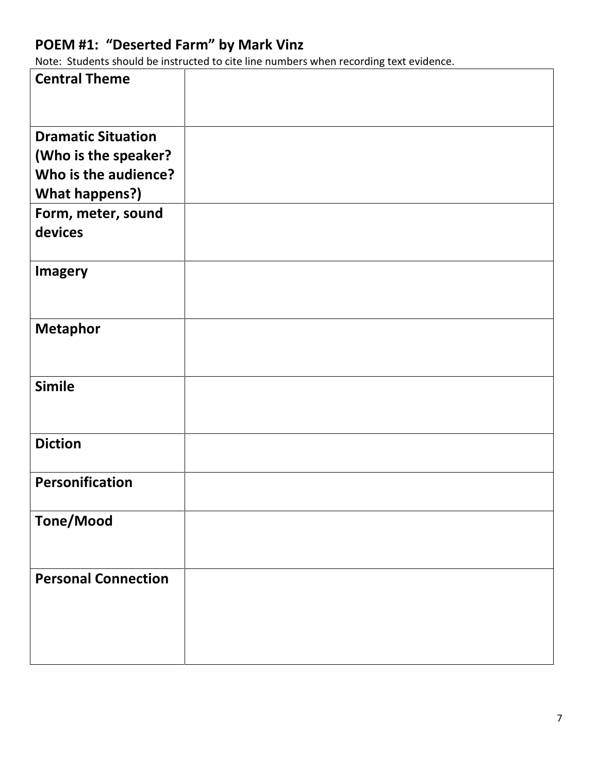# **POEM #1: "Deserted Farm" by Mark Vinz**

Note: Students should be instructed to cite line numbers when recording text evidence.

| <b>Central Theme</b>       |  |
|----------------------------|--|
| <b>Dramatic Situation</b>  |  |
| (Who is the speaker?       |  |
| Who is the audience?       |  |
| <b>What happens?)</b>      |  |
| Form, meter, sound         |  |
| devices                    |  |
| <b>Imagery</b>             |  |
| <b>Metaphor</b>            |  |
| <b>Simile</b>              |  |
| <b>Diction</b>             |  |
| Personification            |  |
| <b>Tone/Mood</b>           |  |
| <b>Personal Connection</b> |  |
|                            |  |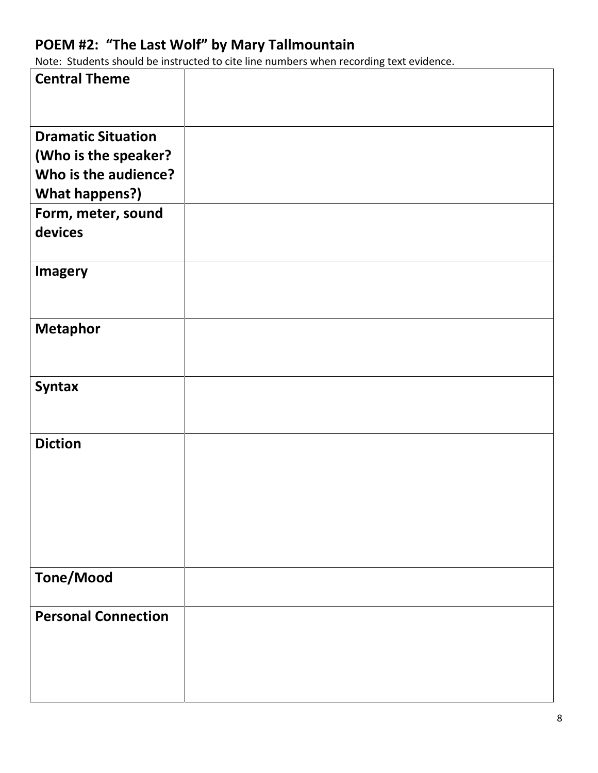## **POEM #2: "The Last Wolf" by Mary Tallmountain**

Note: Students should be instructed to cite line numbers when recording text evidence.

| <b>Central Theme</b>          |  |
|-------------------------------|--|
| <b>Dramatic Situation</b>     |  |
| (Who is the speaker?          |  |
| Who is the audience?          |  |
| <b>What happens?)</b>         |  |
| Form, meter, sound<br>devices |  |
| <b>Imagery</b>                |  |
| <b>Metaphor</b>               |  |
| <b>Syntax</b>                 |  |
| <b>Diction</b>                |  |
| <b>Tone/Mood</b>              |  |
| <b>Personal Connection</b>    |  |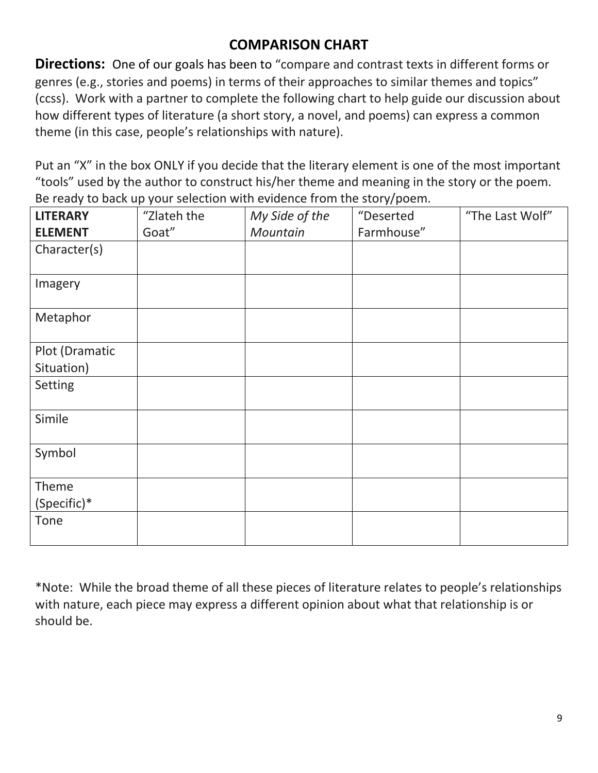## **COMPARISON CHART**

**Directions:** One of our goals has been to "compare and contrast texts in different forms or genres (e.g., stories and poems) in terms of their approaches to similar themes and topics" (ccss). Work with a partner to complete the following chart to help guide our discussion about how different types of literature (a short story, a novel, and poems) can express a common theme (in this case, people's relationships with nature).

Put an "X" in the box ONLY if you decide that the literary element is one of the most important "tools" used by the author to construct his/her theme and meaning in the story or the poem. Be ready to back up your selection with evidence from the story/poem.

| <b>LITERARY</b> | "Zlateh the | My Side of the | "Deserted  | "The Last Wolf" |
|-----------------|-------------|----------------|------------|-----------------|
| <b>ELEMENT</b>  | Goat"       | Mountain       | Farmhouse" |                 |
| Character(s)    |             |                |            |                 |
| Imagery         |             |                |            |                 |
| Metaphor        |             |                |            |                 |
| Plot (Dramatic  |             |                |            |                 |
| Situation)      |             |                |            |                 |
| Setting         |             |                |            |                 |
| Simile          |             |                |            |                 |
| Symbol          |             |                |            |                 |
| Theme           |             |                |            |                 |
| (Specific)*     |             |                |            |                 |
| Tone            |             |                |            |                 |

\*Note: While the broad theme of all these pieces of literature relates to people's relationships with nature, each piece may express a different opinion about what that relationship is or should be.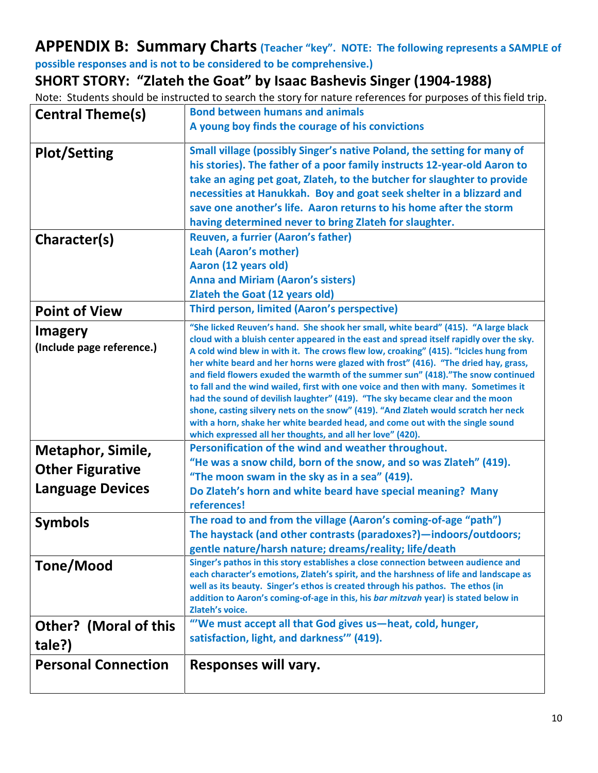## **APPENDIX B: Summary Charts (Teacher "key". NOTE: The following represents a SAMPLE of possible responses and is not to be considered to be comprehensive.)**

**SHORT STORY: "Zlateh the Goat" by Isaac Bashevis Singer (1904-1988)**

Note: Students should be instructed to search the story for nature references for purposes of this field trip.

| <b>Central Theme(s)</b>      | <b>Bond between humans and animals</b>                                                                                                                                          |
|------------------------------|---------------------------------------------------------------------------------------------------------------------------------------------------------------------------------|
|                              | A young boy finds the courage of his convictions                                                                                                                                |
| <b>Plot/Setting</b>          | Small village (possibly Singer's native Poland, the setting for many of                                                                                                         |
|                              | his stories). The father of a poor family instructs 12-year-old Aaron to                                                                                                        |
|                              | take an aging pet goat, Zlateh, to the butcher for slaughter to provide                                                                                                         |
|                              | necessities at Hanukkah. Boy and goat seek shelter in a blizzard and                                                                                                            |
|                              | save one another's life. Aaron returns to his home after the storm                                                                                                              |
|                              | having determined never to bring Zlateh for slaughter.                                                                                                                          |
| Character(s)                 | Reuven, a furrier (Aaron's father)                                                                                                                                              |
|                              | <b>Leah (Aaron's mother)</b>                                                                                                                                                    |
|                              | Aaron (12 years old)                                                                                                                                                            |
|                              | <b>Anna and Miriam (Aaron's sisters)</b>                                                                                                                                        |
|                              | <b>Zlateh the Goat (12 years old)</b>                                                                                                                                           |
| <b>Point of View</b>         | Third person, limited (Aaron's perspective)                                                                                                                                     |
| <b>Imagery</b>               | "She licked Reuven's hand. She shook her small, white beard" (415). "A large black                                                                                              |
| (Include page reference.)    | cloud with a bluish center appeared in the east and spread itself rapidly over the sky.<br>A cold wind blew in with it. The crows flew low, croaking" (415). "Icicles hung from |
|                              | her white beard and her horns were glazed with frost" (416). "The dried hay, grass,                                                                                             |
|                              | and field flowers exuded the warmth of the summer sun" (418)."The snow continued                                                                                                |
|                              | to fall and the wind wailed, first with one voice and then with many. Sometimes it                                                                                              |
|                              | had the sound of devilish laughter" (419). "The sky became clear and the moon<br>shone, casting silvery nets on the snow" (419). "And Zlateh would scratch her neck             |
|                              | with a horn, shake her white bearded head, and come out with the single sound                                                                                                   |
|                              | which expressed all her thoughts, and all her love" (420).                                                                                                                      |
| Metaphor, Simile,            | Personification of the wind and weather throughout.                                                                                                                             |
| <b>Other Figurative</b>      | "He was a snow child, born of the snow, and so was Zlateh" (419).                                                                                                               |
|                              | "The moon swam in the sky as in a sea" (419).                                                                                                                                   |
| <b>Language Devices</b>      | Do Zlateh's horn and white beard have special meaning? Many                                                                                                                     |
|                              | references!                                                                                                                                                                     |
| <b>Symbols</b>               | The road to and from the village (Aaron's coming-of-age "path")                                                                                                                 |
|                              | The haystack (and other contrasts (paradoxes?) - indoors/outdoors;                                                                                                              |
|                              | gentle nature/harsh nature; dreams/reality; life/death                                                                                                                          |
| Tone/Mood                    | Singer's pathos in this story establishes a close connection between audience and<br>each character's emotions, Zlateh's spirit, and the harshness of life and landscape as     |
|                              | well as its beauty. Singer's ethos is created through his pathos. The ethos (in                                                                                                 |
|                              | addition to Aaron's coming-of-age in this, his bar mitzvah year) is stated below in                                                                                             |
|                              | Zlateh's voice.                                                                                                                                                                 |
| <b>Other? (Moral of this</b> | "'We must accept all that God gives us-heat, cold, hunger,                                                                                                                      |
| tale?)                       | satisfaction, light, and darkness" (419).                                                                                                                                       |
| <b>Personal Connection</b>   | Responses will vary.                                                                                                                                                            |
|                              |                                                                                                                                                                                 |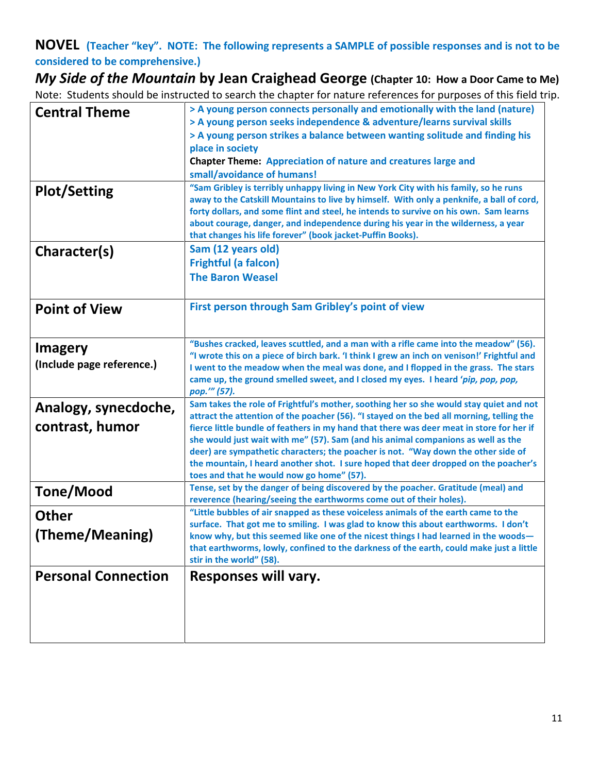**NOVEL (Teacher "key". NOTE: The following represents a SAMPLE of possible responses and is not to be considered to be comprehensive.)**

*My Side of the Mountain* **by Jean Craighead George (Chapter 10: How a Door Came to Me)** Note: Students should be instructed to search the chapter for nature references for purposes of this field trip.

| <b>Central Theme</b>       | > A young person connects personally and emotionally with the land (nature)                                                                                                        |  |  |
|----------------------------|------------------------------------------------------------------------------------------------------------------------------------------------------------------------------------|--|--|
|                            | > A young person seeks independence & adventure/learns survival skills<br>> A young person strikes a balance between wanting solitude and finding his                              |  |  |
|                            | place in society                                                                                                                                                                   |  |  |
|                            | <b>Chapter Theme: Appreciation of nature and creatures large and</b>                                                                                                               |  |  |
|                            | small/avoidance of humans!                                                                                                                                                         |  |  |
| <b>Plot/Setting</b>        | "Sam Gribley is terribly unhappy living in New York City with his family, so he runs<br>away to the Catskill Mountains to live by himself. With only a penknife, a ball of cord,   |  |  |
|                            | forty dollars, and some flint and steel, he intends to survive on his own. Sam learns                                                                                              |  |  |
|                            | about courage, danger, and independence during his year in the wilderness, a year                                                                                                  |  |  |
|                            | that changes his life forever" (book jacket-Puffin Books).                                                                                                                         |  |  |
| Character(s)               | Sam (12 years old)                                                                                                                                                                 |  |  |
|                            | <b>Frightful (a falcon)</b><br><b>The Baron Weasel</b>                                                                                                                             |  |  |
|                            |                                                                                                                                                                                    |  |  |
| <b>Point of View</b>       | First person through Sam Gribley's point of view                                                                                                                                   |  |  |
|                            |                                                                                                                                                                                    |  |  |
|                            |                                                                                                                                                                                    |  |  |
| <b>Imagery</b>             | "Bushes cracked, leaves scuttled, and a man with a rifle came into the meadow" (56).<br>"I wrote this on a piece of birch bark. 'I think I grew an inch on venison!' Frightful and |  |  |
| (Include page reference.)  | I went to the meadow when the meal was done, and I flopped in the grass. The stars                                                                                                 |  |  |
|                            | came up, the ground smelled sweet, and I closed my eyes. I heard 'pip, pop, pop,                                                                                                   |  |  |
|                            | pop.'" (57).                                                                                                                                                                       |  |  |
| Analogy, synecdoche,       | Sam takes the role of Frightful's mother, soothing her so she would stay quiet and not<br>attract the attention of the poacher (56). "I stayed on the bed all morning, telling the |  |  |
| contrast, humor            | fierce little bundle of feathers in my hand that there was deer meat in store for her if                                                                                           |  |  |
|                            | she would just wait with me" (57). Sam (and his animal companions as well as the                                                                                                   |  |  |
|                            | deer) are sympathetic characters; the poacher is not. "Way down the other side of                                                                                                  |  |  |
|                            | the mountain, I heard another shot. I sure hoped that deer dropped on the poacher's<br>toes and that he would now go home" (57).                                                   |  |  |
| Tone/Mood                  | Tense, set by the danger of being discovered by the poacher. Gratitude (meal) and                                                                                                  |  |  |
|                            | reverence (hearing/seeing the earthworms come out of their holes).                                                                                                                 |  |  |
| <b>Other</b>               | "Little bubbles of air snapped as these voiceless animals of the earth came to the<br>surface. That got me to smiling. I was glad to know this about earthworms. I don't           |  |  |
| (Theme/Meaning)            | know why, but this seemed like one of the nicest things I had learned in the woods—                                                                                                |  |  |
|                            | that earthworms, lowly, confined to the darkness of the earth, could make just a little                                                                                            |  |  |
|                            | stir in the world" (58).                                                                                                                                                           |  |  |
| <b>Personal Connection</b> | Responses will vary.                                                                                                                                                               |  |  |
|                            |                                                                                                                                                                                    |  |  |
|                            |                                                                                                                                                                                    |  |  |
|                            |                                                                                                                                                                                    |  |  |
|                            |                                                                                                                                                                                    |  |  |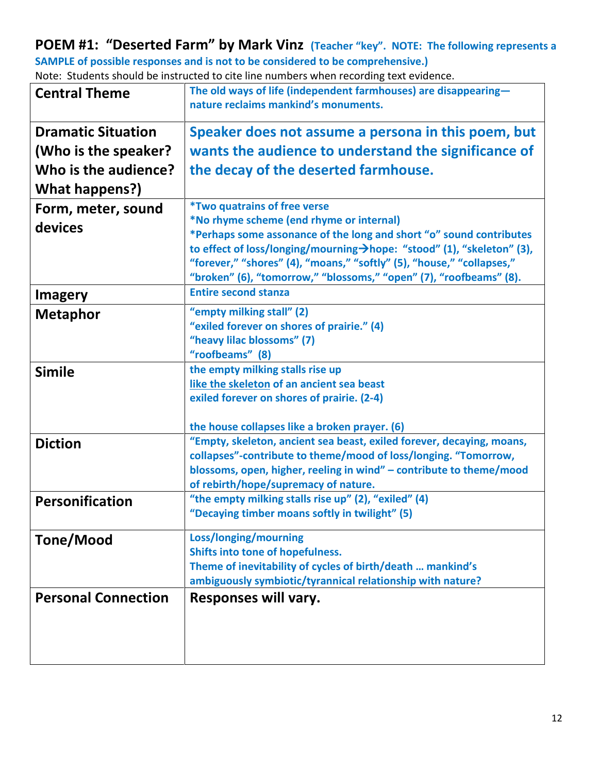### **POEM #1: "Deserted Farm" by Mark Vinz (Teacher "key". NOTE: The following represents a SAMPLE of possible responses and is not to be considered to be comprehensive.)**

Note: Students should be instructed to cite line numbers when recording text evidence. **Central Theme The old ways of life (independent farmhouses) are disappearing—**

|                            | nature reclaims mankind's monuments.                                                                                                            |  |  |
|----------------------------|-------------------------------------------------------------------------------------------------------------------------------------------------|--|--|
| <b>Dramatic Situation</b>  | Speaker does not assume a persona in this poem, but                                                                                             |  |  |
| (Who is the speaker?       | wants the audience to understand the significance of                                                                                            |  |  |
| Who is the audience?       | the decay of the deserted farmhouse.                                                                                                            |  |  |
| What happens?)             |                                                                                                                                                 |  |  |
| Form, meter, sound         | <i><b>*Two quatrains of free verse</b></i>                                                                                                      |  |  |
| devices                    | *No rhyme scheme (end rhyme or internal)                                                                                                        |  |  |
|                            | *Perhaps some assonance of the long and short "o" sound contributes                                                                             |  |  |
|                            | to effect of loss/longing/mourning >hope: "stood" (1), "skeleton" (3),<br>"forever," "shores" (4), "moans," "softly" (5), "house," "collapses," |  |  |
|                            | "broken" (6), "tomorrow," "blossoms," "open" (7), "roofbeams" (8).                                                                              |  |  |
| <b>Imagery</b>             | <b>Entire second stanza</b>                                                                                                                     |  |  |
| <b>Metaphor</b>            | "empty milking stall" (2)                                                                                                                       |  |  |
|                            | "exiled forever on shores of prairie." (4)                                                                                                      |  |  |
|                            | "heavy lilac blossoms" (7)                                                                                                                      |  |  |
|                            | "roofbeams" (8)                                                                                                                                 |  |  |
| <b>Simile</b>              | the empty milking stalls rise up                                                                                                                |  |  |
|                            | like the skeleton of an ancient sea beast<br>exiled forever on shores of prairie. (2-4)                                                         |  |  |
|                            |                                                                                                                                                 |  |  |
|                            | the house collapses like a broken prayer. (6)                                                                                                   |  |  |
| <b>Diction</b>             | "Empty, skeleton, ancient sea beast, exiled forever, decaying, moans,                                                                           |  |  |
|                            | collapses"-contribute to theme/mood of loss/longing. "Tomorrow,                                                                                 |  |  |
|                            | blossoms, open, higher, reeling in wind" - contribute to theme/mood                                                                             |  |  |
|                            | of rebirth/hope/supremacy of nature.<br>"the empty milking stalls rise up" (2), "exiled" (4)                                                    |  |  |
| Personification            | "Decaying timber moans softly in twilight" (5)                                                                                                  |  |  |
|                            |                                                                                                                                                 |  |  |
| Tone/Mood                  | Loss/longing/mourning                                                                                                                           |  |  |
|                            | Shifts into tone of hopefulness.<br>Theme of inevitability of cycles of birth/death  mankind's                                                  |  |  |
|                            | ambiguously symbiotic/tyrannical relationship with nature?                                                                                      |  |  |
| <b>Personal Connection</b> | Responses will vary.                                                                                                                            |  |  |
|                            |                                                                                                                                                 |  |  |
|                            |                                                                                                                                                 |  |  |
|                            |                                                                                                                                                 |  |  |
|                            |                                                                                                                                                 |  |  |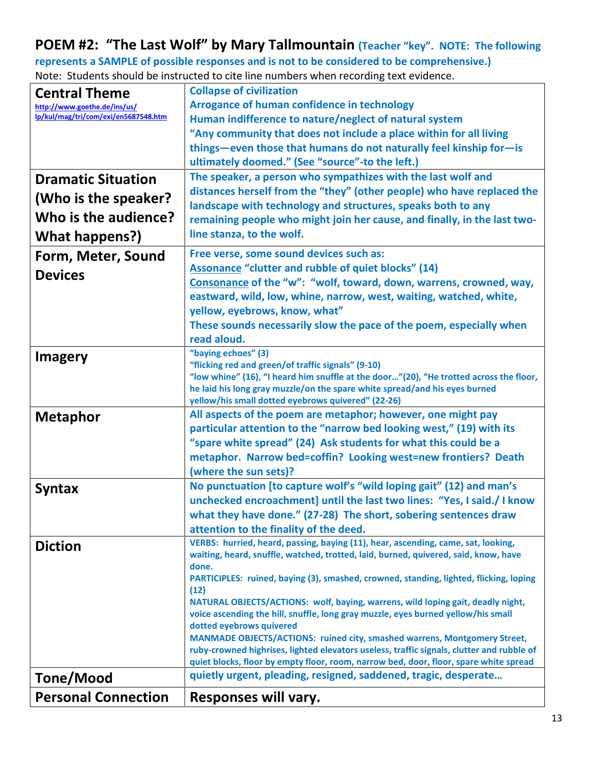## **POEM #2: "The Last Wolf" by Mary Tallmountain (Teacher "key". NOTE: The following**

**represents a SAMPLE of possible responses and is not to be considered to be comprehensive.)** Note: Students should be instructed to cite line numbers when recording text evidence.

| <b>Central Theme</b>                 | <b>Collapse of civilization</b>                                                                                                                                          |  |  |
|--------------------------------------|--------------------------------------------------------------------------------------------------------------------------------------------------------------------------|--|--|
| http://www.goethe.de/ins/us/         | <b>Arrogance of human confidence in technology</b>                                                                                                                       |  |  |
| lp/kul/mag/tri/com/exi/en5687548.htm | Human indifference to nature/neglect of natural system                                                                                                                   |  |  |
|                                      | "Any community that does not include a place within for all living                                                                                                       |  |  |
|                                      | things-even those that humans do not naturally feel kinship for-is                                                                                                       |  |  |
|                                      | ultimately doomed." (See "source"-to the left.)                                                                                                                          |  |  |
| <b>Dramatic Situation</b>            | The speaker, a person who sympathizes with the last wolf and                                                                                                             |  |  |
|                                      | distances herself from the "they" (other people) who have replaced the                                                                                                   |  |  |
| (Who is the speaker?                 | landscape with technology and structures, speaks both to any                                                                                                             |  |  |
| Who is the audience?                 | remaining people who might join her cause, and finally, in the last two-                                                                                                 |  |  |
| What happens?)                       | line stanza, to the wolf.                                                                                                                                                |  |  |
| Form, Meter, Sound                   | Free verse, some sound devices such as:                                                                                                                                  |  |  |
| <b>Devices</b>                       | Assonance "clutter and rubble of quiet blocks" (14)                                                                                                                      |  |  |
|                                      | Consonance of the "w": "wolf, toward, down, warrens, crowned, way,                                                                                                       |  |  |
|                                      | eastward, wild, low, whine, narrow, west, waiting, watched, white,                                                                                                       |  |  |
|                                      | yellow, eyebrows, know, what"                                                                                                                                            |  |  |
|                                      | These sounds necessarily slow the pace of the poem, especially when                                                                                                      |  |  |
|                                      | read aloud.<br>"baying echoes" (3)                                                                                                                                       |  |  |
| <b>Imagery</b>                       | "flicking red and green/of traffic signals" (9-10)                                                                                                                       |  |  |
|                                      | "low whine" (16), "I heard him snuffle at the door"(20), "He trotted across the floor,                                                                                   |  |  |
|                                      | he laid his long gray muzzle/on the spare white spread/and his eyes burned                                                                                               |  |  |
|                                      | yellow/his small dotted eyebrows quivered" (22-26)                                                                                                                       |  |  |
| <b>Metaphor</b>                      | All aspects of the poem are metaphor; however, one might pay<br>particular attention to the "narrow bed looking west," (19) with its                                     |  |  |
|                                      | "spare white spread" (24) Ask students for what this could be a                                                                                                          |  |  |
|                                      | metaphor. Narrow bed=coffin? Looking west=new frontiers? Death                                                                                                           |  |  |
|                                      | (where the sun sets)?                                                                                                                                                    |  |  |
| <b>Syntax</b>                        | No punctuation [to capture wolf's "wild loping gait" (12) and man's                                                                                                      |  |  |
|                                      | unchecked encroachment] until the last two lines: "Yes, I said./ I know                                                                                                  |  |  |
|                                      | what they have done." (27-28) The short, sobering sentences draw                                                                                                         |  |  |
|                                      | attention to the finality of the deed.                                                                                                                                   |  |  |
| <b>Diction</b>                       | VERBS: hurried, heard, passing, baying (11), hear, ascending, came, sat, looking,<br>waiting, heard, snuffle, watched, trotted, laid, burned, quivered, said, know, have |  |  |
|                                      | done.                                                                                                                                                                    |  |  |
|                                      | PARTICIPLES: ruined, baying (3), smashed, crowned, standing, lighted, flicking, loping                                                                                   |  |  |
|                                      | (12)                                                                                                                                                                     |  |  |
|                                      | NATURAL OBJECTS/ACTIONS: wolf, baying, warrens, wild loping gait, deadly night,<br>voice ascending the hill, snuffle, long gray muzzle, eyes burned yellow/his small     |  |  |
|                                      | dotted eyebrows quivered                                                                                                                                                 |  |  |
|                                      | <b>MANMADE OBJECTS/ACTIONS: ruined city, smashed warrens, Montgomery Street,</b>                                                                                         |  |  |
|                                      | ruby-crowned highrises, lighted elevators useless, traffic signals, clutter and rubble of                                                                                |  |  |
|                                      | quiet blocks, floor by empty floor, room, narrow bed, door, floor, spare white spread                                                                                    |  |  |
| <b>Tone/Mood</b>                     | quietly urgent, pleading, resigned, saddened, tragic, desperate                                                                                                          |  |  |
| <b>Personal Connection</b>           | Responses will vary.                                                                                                                                                     |  |  |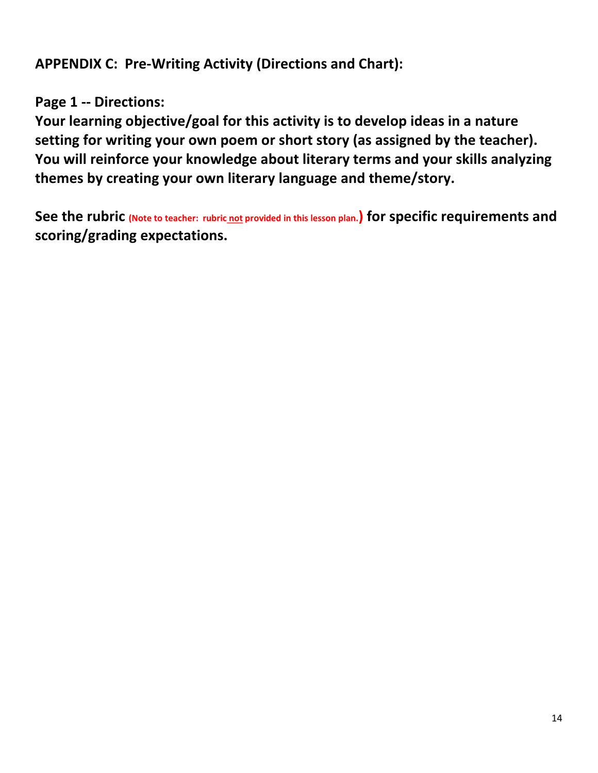**APPENDIX C: Pre-Writing Activity (Directions and Chart):** 

## **Page 1 -- Directions:**

**Your learning objective/goal for this activity is to develop ideas in a nature setting for writing your own poem or short story (as assigned by the teacher). You will reinforce your knowledge about literary terms and your skills analyzing themes by creating your own literary language and theme/story.**

**See the rubric (Note to teacher: rubric not provided in this lesson plan.) for specific requirements and scoring/grading expectations.**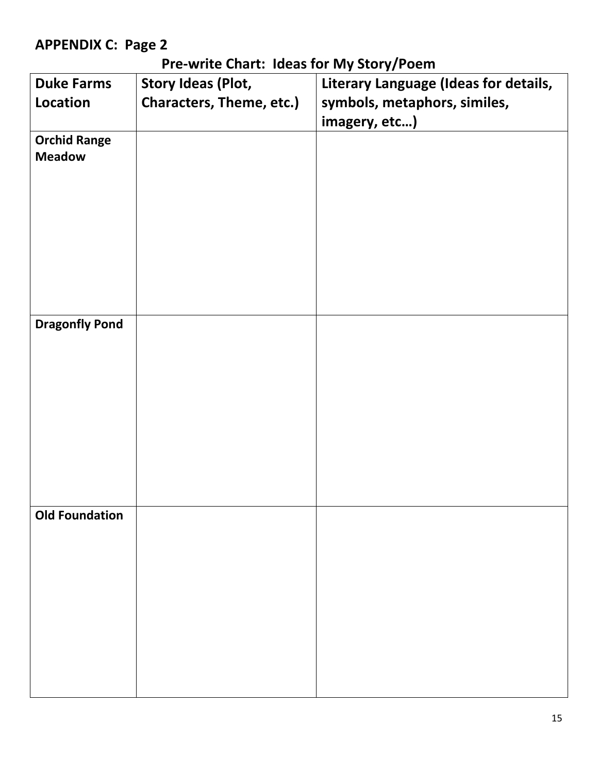## **APPENDIX C: Page 2**

## **Pre-write Chart: Ideas for My Story/Poem**

| <b>Duke Farms</b>     | <b>Story Ideas (Plot,</b> | Literary Language (Ideas for details, |
|-----------------------|---------------------------|---------------------------------------|
| Location              | Characters, Theme, etc.)  | symbols, metaphors, similes,          |
|                       |                           | imagery, etc)                         |
| <b>Orchid Range</b>   |                           |                                       |
| <b>Meadow</b>         |                           |                                       |
|                       |                           |                                       |
|                       |                           |                                       |
|                       |                           |                                       |
|                       |                           |                                       |
|                       |                           |                                       |
|                       |                           |                                       |
|                       |                           |                                       |
| <b>Dragonfly Pond</b> |                           |                                       |
|                       |                           |                                       |
|                       |                           |                                       |
|                       |                           |                                       |
|                       |                           |                                       |
|                       |                           |                                       |
|                       |                           |                                       |
|                       |                           |                                       |
|                       |                           |                                       |
|                       |                           |                                       |
| <b>Old Foundation</b> |                           |                                       |
|                       |                           |                                       |
|                       |                           |                                       |
|                       |                           |                                       |
|                       |                           |                                       |
|                       |                           |                                       |
|                       |                           |                                       |
|                       |                           |                                       |
|                       |                           |                                       |